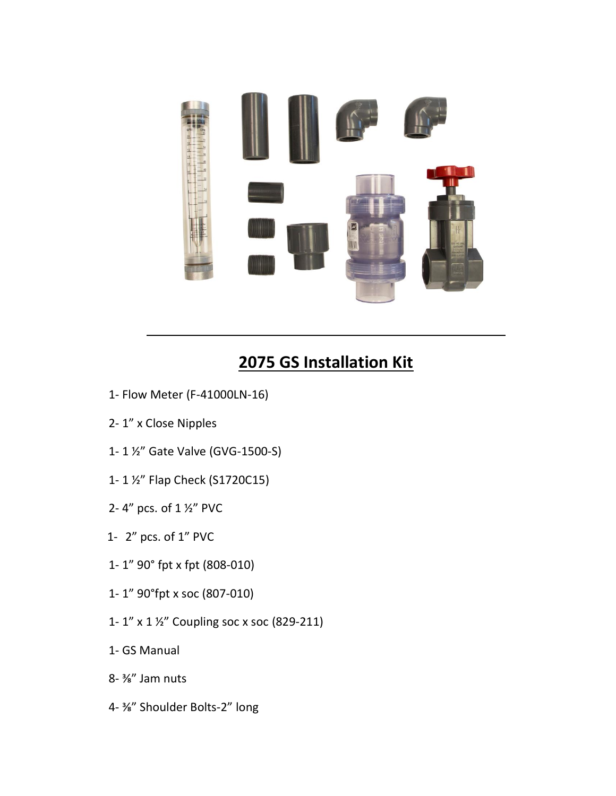

## **2075 GS Installation Kit**

- 1- Flow Meter (F-41000LN-16)
- 2- 1" x Close Nipples
- 1- 1 ½" Gate Valve (GVG-1500-S)
- 1- 1 ½" Flap Check (S1720C15)
- 2- 4" pcs. of 1 ½" PVC
- 1- 2" pcs. of 1" PVC
- 1- 1" 90° fpt x fpt (808-010)
- 1- 1" 90°fpt x soc (807-010)
- 1- 1" x 1 ½" Coupling soc x soc (829-211)
- 1- GS Manual
- 8- ⅜" Jam nuts
- 4- ⅜" Shoulder Bolts-2" long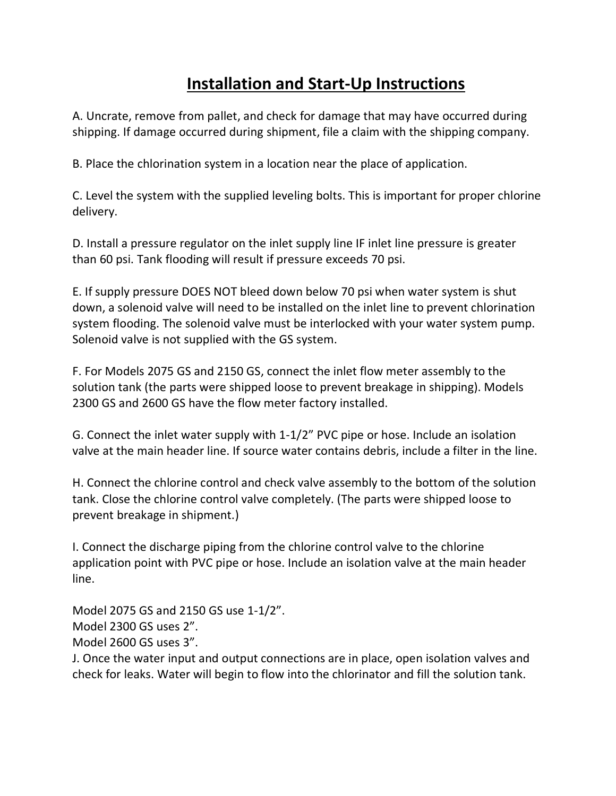## **Installation and Start-Up Instructions**

A. Uncrate, remove from pallet, and check for damage that may have occurred during shipping. If damage occurred during shipment, file a claim with the shipping company.

B. Place the chlorination system in a location near the place of application.

C. Level the system with the supplied leveling bolts. This is important for proper chlorine delivery.

D. Install a pressure regulator on the inlet supply line IF inlet line pressure is greater than 60 psi. Tank flooding will result if pressure exceeds 70 psi.

E. If supply pressure DOES NOT bleed down below 70 psi when water system is shut down, a solenoid valve will need to be installed on the inlet line to prevent chlorination system flooding. The solenoid valve must be interlocked with your water system pump. Solenoid valve is not supplied with the GS system.

F. For Models 2075 GS and 2150 GS, connect the inlet flow meter assembly to the solution tank (the parts were shipped loose to prevent breakage in shipping). Models 2300 GS and 2600 GS have the flow meter factory installed.

G. Connect the inlet water supply with 1-1/2" PVC pipe or hose. Include an isolation valve at the main header line. If source water contains debris, include a filter in the line.

H. Connect the chlorine control and check valve assembly to the bottom of the solution tank. Close the chlorine control valve completely. (The parts were shipped loose to prevent breakage in shipment.)

I. Connect the discharge piping from the chlorine control valve to the chlorine application point with PVC pipe or hose. Include an isolation valve at the main header line.

Model 2075 GS and 2150 GS use 1-1/2". Model 2300 GS uses 2". Model 2600 GS uses 3".

J. Once the water input and output connections are in place, open isolation valves and check for leaks. Water will begin to flow into the chlorinator and fill the solution tank.